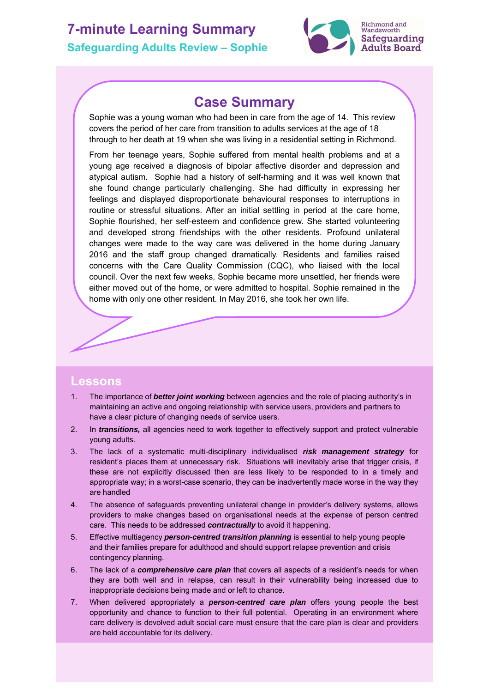# **7-minute Learning Summary Safeguarding Adults Review – Sophie**



### **Case Summary**

Sophie was a young woman who had been in care from the age of 14. This review covers the period of her care from transition to adults services at the age of 18 through to her death at 19 when she was living in a residential setting in Richmond.

From her teenage years, Sophie suffered from mental health problems and at a young age received a diagnosis of bipolar affective disorder and depression and atypical autism. Sophie had a history of self-harming and it was well known that she found change particularly challenging. She had difficulty in expressing her feelings and displayed disproportionate behavioural responses to interruptions in routine or stressful situations. After an initial settling in period at the care home, Sophie flourished, her self-esteem and confidence grew. She started volunteering and developed strong friendships with the other residents. Profound unilateral changes were made to the way care was delivered in the home during January 2016 and the staff group changed dramatically. Residents and families raised concerns with the Care Quality Commission (CQC), who liaised with the local council. Over the next few weeks, Sophie became more unsettled, her friends were either moved out of the home, or were admitted to hospital. Sophie remained in the home with only one other resident. In May 2016, she took her own life.

### **Lessons**

- 1. The importance of *better joint working* between agencies and the role of placing authority's in maintaining an active and ongoing relationship with service users, providers and partners to have a clear picture of changing needs of service users.
- 2. In *transitions,* all agencies need to work together to effectively support and protect vulnerable young adults.
- 3. The lack of a systematic multi-disciplinary individualised *risk management strategy* for resident's places them at unnecessary risk. Situations will inevitably arise that trigger crisis, if these are not explicitly discussed then are less likely to be responded to in a timely and appropriate way; in a worst-case scenario, they can be inadvertently made worse in the way they are handled
- 4. The absence of safeguards preventing unilateral change in provider's delivery systems, allows providers to make changes based on organisational needs at the expense of person centred care. This needs to be addressed *contractually* to avoid it happening.
- 5. Effective multiagency *person-centred transition planning* is essential to help young people and their families prepare for adulthood and should support relapse prevention and crisis contingency planning.
- 6. The lack of a *comprehensive care plan* that covers all aspects of a resident's needs for when they are both well and in relapse, can result in their vulnerability being increased due to inappropriate decisions being made and or left to chance.
- 7. When delivered appropriately a *person-centred care plan* offers young people the best opportunity and chance to function to their full potential. Operating in an environment where care delivery is devolved adult social care must ensure that the care plan is clear and providers are held accountable for its delivery.